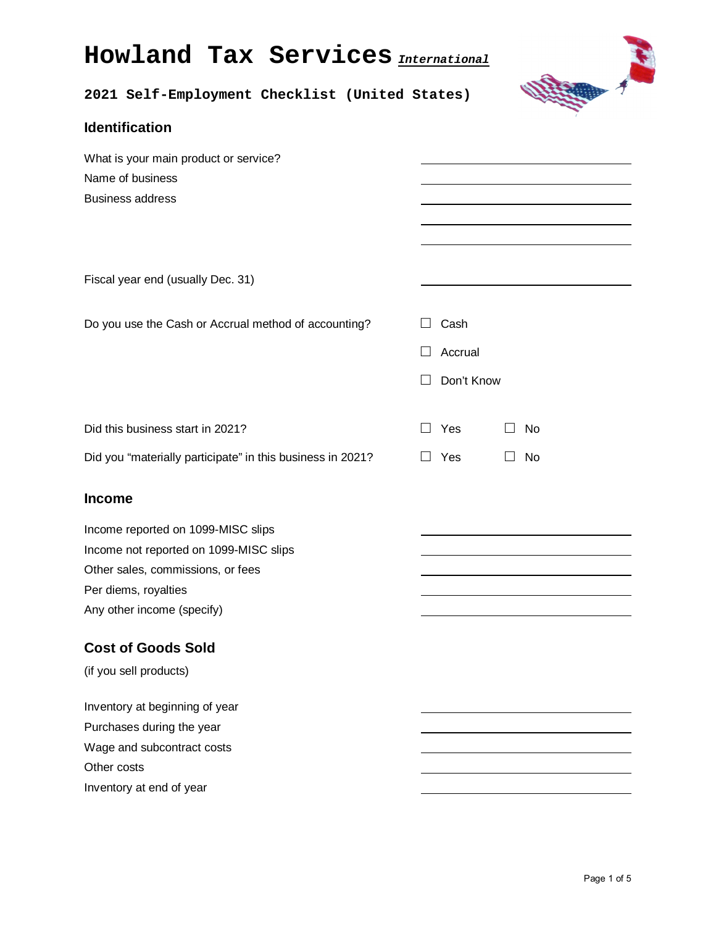# **Howland Tax Services** *International*



# **2021 Self-Employment Checklist (United States)**

| <b>Identification</b>                                                                                                                                                                    |                                        |                               |                                                            |
|------------------------------------------------------------------------------------------------------------------------------------------------------------------------------------------|----------------------------------------|-------------------------------|------------------------------------------------------------|
| What is your main product or service?<br>Name of business<br><b>Business address</b>                                                                                                     |                                        |                               | <u> 1989 - Johann Barn, amerikansk politiker (d. 1989)</u> |
| Fiscal year end (usually Dec. 31)                                                                                                                                                        |                                        |                               |                                                            |
| Do you use the Cash or Accrual method of accounting?                                                                                                                                     | $\Box$<br>$\mathsf{L}$<br>$\mathsf{L}$ | Cash<br>Accrual<br>Don't Know |                                                            |
| Did this business start in 2021?<br>Did you "materially participate" in this business in 2021?                                                                                           | $\mathsf{L}$<br>$\Box$                 | Yes<br>Yes                    | No<br>$\perp$<br>No<br>$\Box$                              |
| <b>Income</b><br>Income reported on 1099-MISC slips<br>Income not reported on 1099-MISC slips<br>Other sales, commissions, or fees<br>Per diems, royalties<br>Any other income (specify) |                                        |                               |                                                            |
| <b>Cost of Goods Sold</b><br>(if you sell products)                                                                                                                                      |                                        |                               |                                                            |
| Inventory at beginning of year<br>Purchases during the year<br>Wage and subcontract costs<br>Other costs<br>Inventory at end of year                                                     |                                        |                               |                                                            |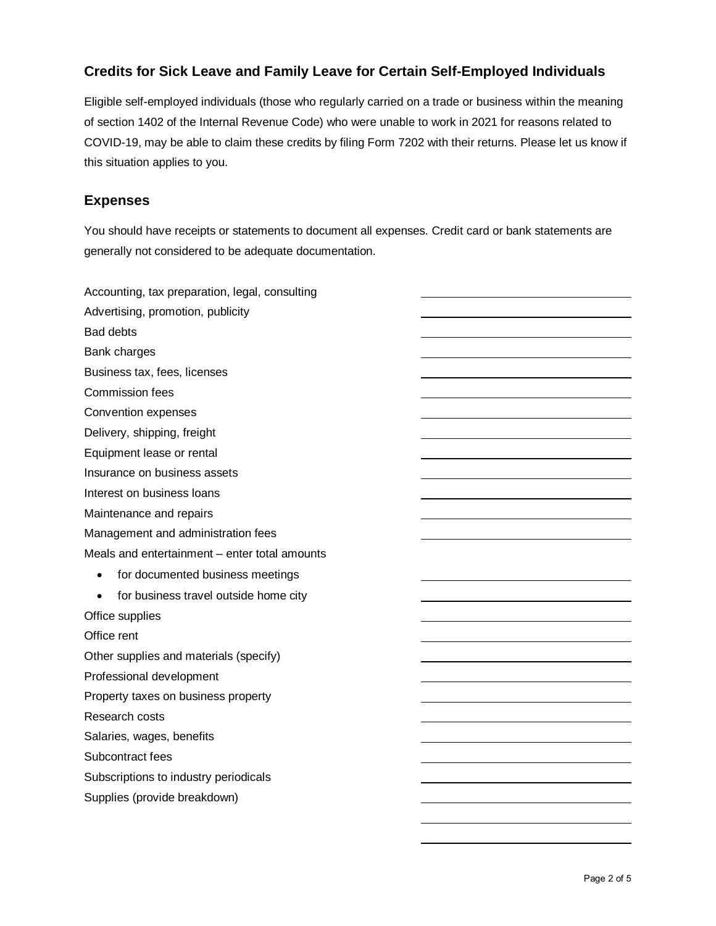# **Credits for Sick Leave and Family Leave for Certain Self-Employed Individuals**

Eligible self-employed individuals (those who regularly carried on a trade or business within the meaning of section 1402 of the Internal Revenue Code) who were unable to work in 2021 for reasons related to COVID-19, may be able to claim these credits by filing Form 7202 with their returns. Please let us know if this situation applies to you.

### **Expenses**

You should have receipts or statements to document all expenses. Credit card or bank statements are generally not considered to be adequate documentation.

| Accounting, tax preparation, legal, consulting     |  |
|----------------------------------------------------|--|
| Advertising, promotion, publicity                  |  |
| <b>Bad debts</b>                                   |  |
| <b>Bank charges</b>                                |  |
| Business tax, fees, licenses                       |  |
| <b>Commission fees</b>                             |  |
| Convention expenses                                |  |
| Delivery, shipping, freight                        |  |
| Equipment lease or rental                          |  |
| Insurance on business assets                       |  |
| Interest on business loans                         |  |
| Maintenance and repairs                            |  |
| Management and administration fees                 |  |
| Meals and entertainment - enter total amounts      |  |
| for documented business meetings<br>$\bullet$      |  |
| for business travel outside home city<br>$\bullet$ |  |
| Office supplies                                    |  |
| Office rent                                        |  |
| Other supplies and materials (specify)             |  |
| Professional development                           |  |
| Property taxes on business property                |  |
| Research costs                                     |  |
| Salaries, wages, benefits                          |  |
| Subcontract fees                                   |  |
| Subscriptions to industry periodicals              |  |
| Supplies (provide breakdown)                       |  |
|                                                    |  |
|                                                    |  |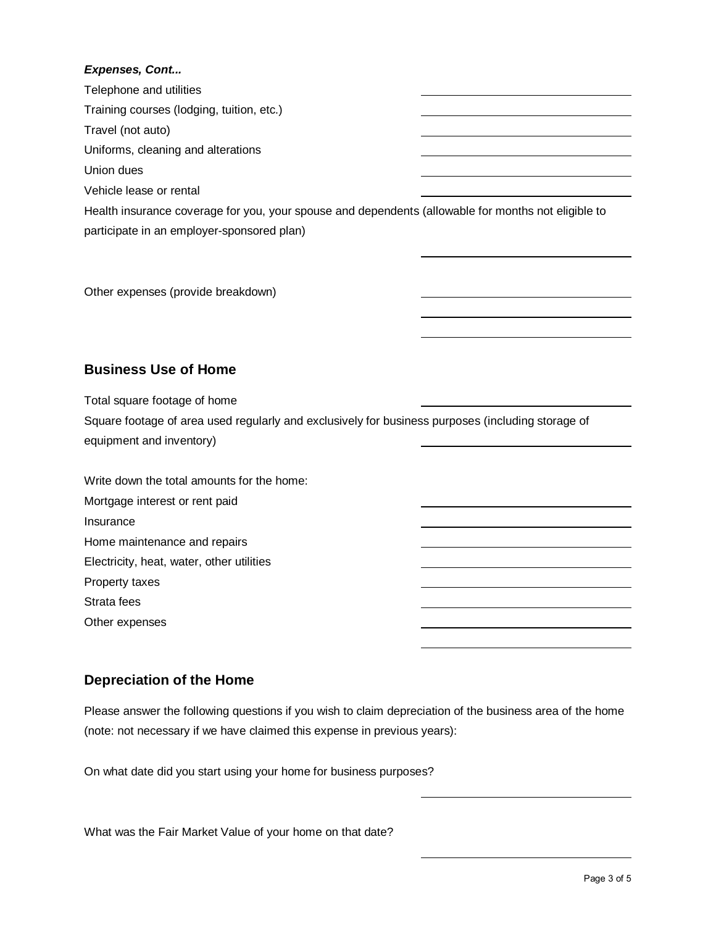#### *Expenses, Cont...*

| Telephone and utilities                                                                             |  |
|-----------------------------------------------------------------------------------------------------|--|
| Training courses (lodging, tuition, etc.)                                                           |  |
| Travel (not auto)                                                                                   |  |
| Uniforms, cleaning and alterations                                                                  |  |
| Union dues                                                                                          |  |
| Vehicle lease or rental                                                                             |  |
| Health insurance coverage for you, your spouse and dependents (allowable for months not eligible to |  |
| participate in an employer-sponsored plan)                                                          |  |

Other expenses (provide breakdown)

# **Business Use of Home**

Total square footage of home Square footage of area used regularly and exclusively for business purposes (including storage of equipment and inventory)

| Write down the total amounts for the home: |  |
|--------------------------------------------|--|
| Mortgage interest or rent paid             |  |
| Insurance                                  |  |
| Home maintenance and repairs               |  |
| Electricity, heat, water, other utilities  |  |
| Property taxes                             |  |
| Strata fees                                |  |
| Other expenses                             |  |
|                                            |  |

# **Depreciation of the Home**

Please answer the following questions if you wish to claim depreciation of the business area of the home (note: not necessary if we have claimed this expense in previous years):

On what date did you start using your home for business purposes?

What was the Fair Market Value of your home on that date?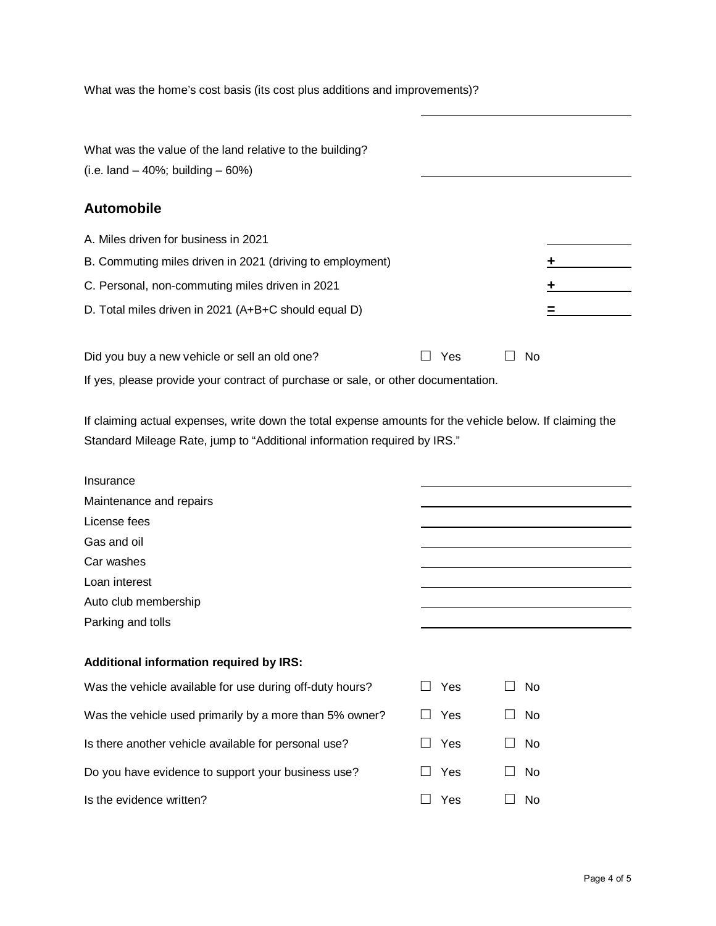What was the home's cost basis (its cost plus additions and improvements)?

What was the value of the land relative to the building? (i.e. land  $-40\%$ ; building  $-60\%$ ) **Automobile**  A. Miles driven for business in 2021 B. Commuting miles driven in 2021 (driving to employment) **+** C. Personal, non-commuting miles driven in 2021 **+** D. Total miles driven in 2021 (A+B+C should equal D) **=** Did you buy a new vehicle or sell an old one? **□** Yes **□** No

If yes, please provide your contract of purchase or sale, or other documentation.

If claiming actual expenses, write down the total expense amounts for the vehicle below. If claiming the Standard Mileage Rate, jump to "Additional information required by IRS."

| Insurance                                                |            |                                            |
|----------------------------------------------------------|------------|--------------------------------------------|
| Maintenance and repairs                                  |            |                                            |
| License fees                                             |            |                                            |
| Gas and oil                                              |            |                                            |
| Car washes                                               |            |                                            |
| Loan interest                                            |            |                                            |
| Auto club membership                                     |            |                                            |
| Parking and tolls                                        |            |                                            |
|                                                          |            |                                            |
| Additional information required by IRS:                  |            |                                            |
| Was the vehicle available for use during off-duty hours? | <b>Yes</b> | N <sub>0</sub><br>$\overline{\phantom{a}}$ |
| Was the vehicle used primarily by a more than 5% owner?  | Yes        | N <sub>0</sub><br>$\overline{\phantom{a}}$ |
| Is there another vehicle available for personal use?     | Yes        | N <sub>0</sub><br>$\mathcal{L}$            |
| Do you have evidence to support your business use?       | Yes        | N <sub>0</sub>                             |
| Is the evidence written?                                 | Yes        | N <sub>0</sub>                             |